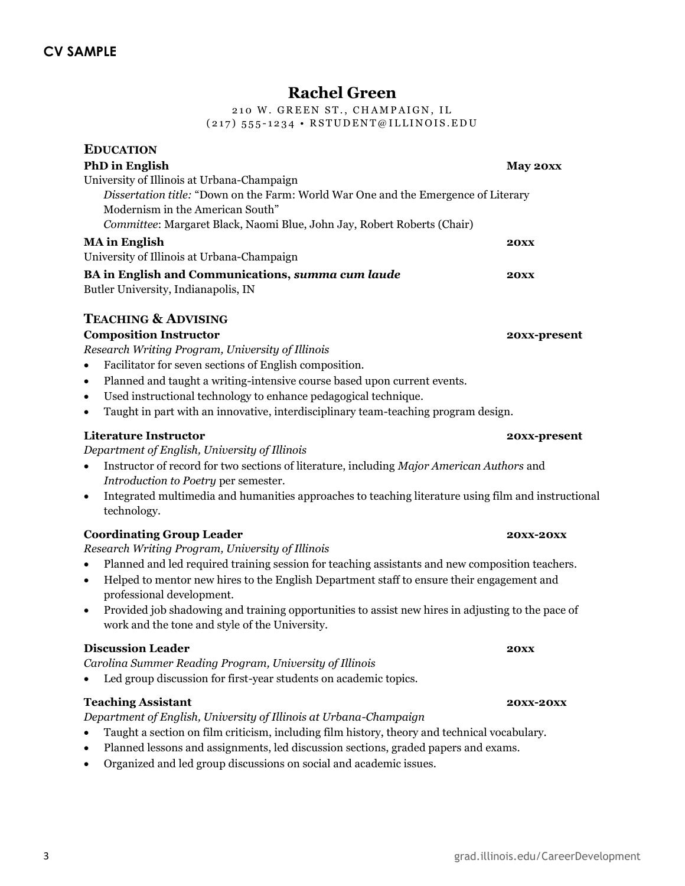# **Rachel Green**

210 W. GREEN ST., CHAMPAIGN, IL (217)  $555 - 1234$  • RSTUDENT@ILLINOIS.EDU

| <b>EDUCATION</b>                                                                                                                |              |
|---------------------------------------------------------------------------------------------------------------------------------|--------------|
| <b>PhD</b> in English                                                                                                           | May 20xx     |
| University of Illinois at Urbana-Champaign                                                                                      |              |
| Dissertation title: "Down on the Farm: World War One and the Emergence of Literary                                              |              |
| Modernism in the American South"                                                                                                |              |
| Committee: Margaret Black, Naomi Blue, John Jay, Robert Roberts (Chair)                                                         |              |
| <b>MA</b> in English                                                                                                            | <b>20XX</b>  |
| University of Illinois at Urbana-Champaign                                                                                      |              |
| BA in English and Communications, summa cum laude                                                                               | <b>20XX</b>  |
| Butler University, Indianapolis, IN                                                                                             |              |
| <b>TEACHING &amp; ADVISING</b>                                                                                                  |              |
| <b>Composition Instructor</b>                                                                                                   | 20xx-present |
| Research Writing Program, University of Illinois                                                                                |              |
| Facilitator for seven sections of English composition.                                                                          |              |
| Planned and taught a writing-intensive course based upon current events.<br>$\bullet$                                           |              |
| Used instructional technology to enhance pedagogical technique.<br>$\bullet$                                                    |              |
| Taught in part with an innovative, interdisciplinary team-teaching program design.<br>$\bullet$                                 |              |
| Literature Instructor                                                                                                           | 20xx-present |
| Department of English, University of Illinois                                                                                   |              |
| Instructor of record for two sections of literature, including Major American Authors and<br>$\bullet$                          |              |
| Introduction to Poetry per semester.                                                                                            |              |
| Integrated multimedia and humanities approaches to teaching literature using film and instructional<br>$\bullet$<br>technology. |              |
|                                                                                                                                 |              |

#### **Coordinating Group Leader 20xx-20xx 20xx-20xx** *Research Writing Program, University of Illinois*

Planned and led required training session for teaching assistants and new composition teachers.

- Helped to mentor new hires to the English Department staff to ensure their engagement and professional development.
- Provided job shadowing and training opportunities to assist new hires in adjusting to the pace of work and the tone and style of the University.

#### **Discussion Leader 20xx**

*Carolina Summer Reading Program, University of Illinois*

Led group discussion for first-year students on academic topics.

#### **Teaching Assistant 20xx-20xx 20xx-20xx 20xx-20xx**

*Department of English, University of Illinois at Urbana-Champaign* 

- Taught a section on film criticism, including film history, theory and technical vocabulary.
- Planned lessons and assignments, led discussion sections, graded papers and exams.
- Organized and led group discussions on social and academic issues.

## 3 grad.illinois.edu/CareerDevelopment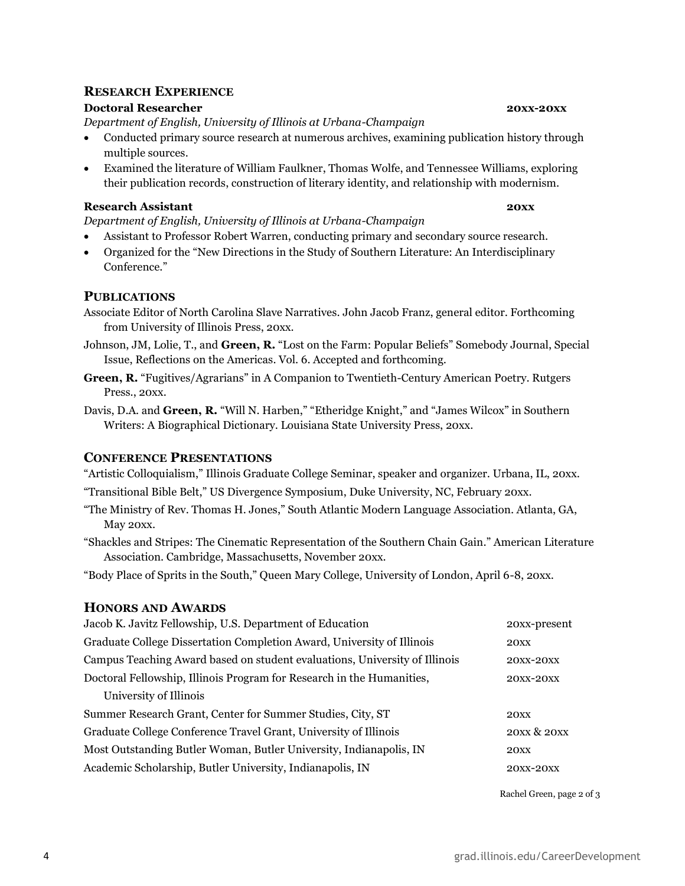### **RESEARCH EXPERIENCE**

#### **Doctoral Researcher 20xx-20xx**

*Department of English, University of Illinois at Urbana-Champaign* 

- Conducted primary source research at numerous archives, examining publication history through multiple sources.
- Examined the literature of William Faulkner, Thomas Wolfe, and Tennessee Williams, exploring their publication records, construction of literary identity, and relationship with modernism.

#### **Research Assistant 20xx 20xx**

*Department of English, University of Illinois at Urbana-Champaign* 

- Assistant to Professor Robert Warren, conducting primary and secondary source research.
- Organized for the "New Directions in the Study of Southern Literature: An Interdisciplinary Conference."

#### **PUBLICATIONS**

- Associate Editor of North Carolina Slave Narratives. John Jacob Franz, general editor. Forthcoming from University of Illinois Press, 20xx.
- Johnson, JM, Lolie, T., and **Green, R.** "Lost on the Farm: Popular Beliefs" Somebody Journal, Special Issue, Reflections on the Americas. Vol. 6. Accepted and forthcoming.
- **Green, R.** "Fugitives/Agrarians" in A Companion to Twentieth-Century American Poetry. Rutgers Press., 20xx.
- Davis, D.A. and **Green, R.** "Will N. Harben," "Etheridge Knight," and "James Wilcox" in Southern Writers: A Biographical Dictionary. Louisiana State University Press, 20xx.

#### **CONFERENCE PRESENTATIONS**

"Artistic Colloquialism," Illinois Graduate College Seminar, speaker and organizer. Urbana, IL, 20xx.

- "Transitional Bible Belt," US Divergence Symposium, Duke University, NC, February 20xx.
- "The Ministry of Rev. Thomas H. Jones," South Atlantic Modern Language Association. Atlanta, GA, May 20xx.
- "Shackles and Stripes: The Cinematic Representation of the Southern Chain Gain." American Literature Association. Cambridge, Massachusetts, November 20xx.

"Body Place of Sprits in the South," Queen Mary College, University of London, April 6-8, 20xx.

#### **HONORS AND AWARDS**

| Jacob K. Javitz Fellowship, U.S. Department of Education                   | 20xx-present     |
|----------------------------------------------------------------------------|------------------|
| Graduate College Dissertation Completion Award, University of Illinois     | 20XX             |
| Campus Teaching Award based on student evaluations, University of Illinois | <b>20XX-20XX</b> |
| Doctoral Fellowship, Illinois Program for Research in the Humanities,      | <b>20XX-20XX</b> |
| University of Illinois                                                     |                  |
| Summer Research Grant, Center for Summer Studies, City, ST                 | 20XX             |
| Graduate College Conference Travel Grant, University of Illinois           | 20XX & 20XX      |
| Most Outstanding Butler Woman, Butler University, Indianapolis, IN         | 20XX             |
| Academic Scholarship, Butler University, Indianapolis, IN                  | <b>20XX-20XX</b> |
|                                                                            |                  |

Rachel Green, page 2 of 3